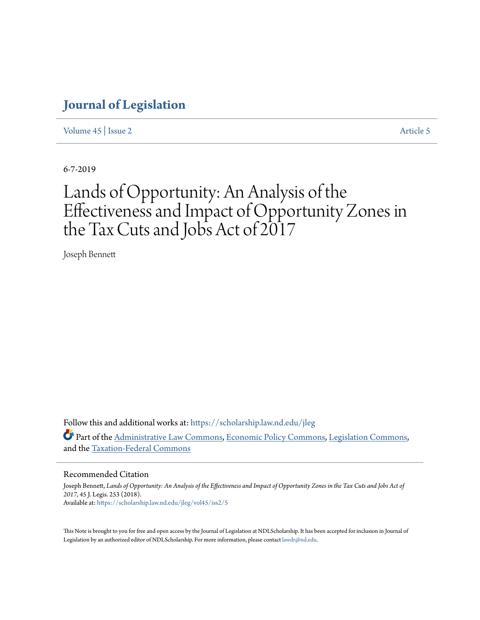[Volume 45](https://scholarship.law.nd.edu/jleg/vol45?utm_source=scholarship.law.nd.edu%2Fjleg%2Fvol45%2Fiss2%2F5&utm_medium=PDF&utm_campaign=PDFCoverPages) | [Issue 2](https://scholarship.law.nd.edu/jleg/vol45/iss2?utm_source=scholarship.law.nd.edu%2Fjleg%2Fvol45%2Fiss2%2F5&utm_medium=PDF&utm_campaign=PDFCoverPages) [Article 5](https://scholarship.law.nd.edu/jleg/vol45/iss2/5?utm_source=scholarship.law.nd.edu%2Fjleg%2Fvol45%2Fiss2%2F5&utm_medium=PDF&utm_campaign=PDFCoverPages)

6-7-2019

# Lands of Opportunity: An Analysis of the Effectiveness and Impact of Opportunity Zones in the Tax Cuts and Jobs Act of 2017

Joseph Bennett

Follow this and additional works at: [https://scholarship.law.nd.edu/jleg](https://scholarship.law.nd.edu/jleg?utm_source=scholarship.law.nd.edu%2Fjleg%2Fvol45%2Fiss2%2F5&utm_medium=PDF&utm_campaign=PDFCoverPages) Part of the [Administrative Law Commons,](http://network.bepress.com/hgg/discipline/579?utm_source=scholarship.law.nd.edu%2Fjleg%2Fvol45%2Fiss2%2F5&utm_medium=PDF&utm_campaign=PDFCoverPages) [Economic Policy Commons,](http://network.bepress.com/hgg/discipline/1025?utm_source=scholarship.law.nd.edu%2Fjleg%2Fvol45%2Fiss2%2F5&utm_medium=PDF&utm_campaign=PDFCoverPages) [Legislation Commons,](http://network.bepress.com/hgg/discipline/859?utm_source=scholarship.law.nd.edu%2Fjleg%2Fvol45%2Fiss2%2F5&utm_medium=PDF&utm_campaign=PDFCoverPages) and the [Taxation-Federal Commons](http://network.bepress.com/hgg/discipline/881?utm_source=scholarship.law.nd.edu%2Fjleg%2Fvol45%2Fiss2%2F5&utm_medium=PDF&utm_campaign=PDFCoverPages)

#### Recommended Citation

Joseph Bennett, *Lands of Opportunity: An Analysis of the Effectiveness and Impact of Opportunity Zones in the Tax Cuts and Jobs Act of 2017*, 45 J. Legis. 253 (2018). Available at: [https://scholarship.law.nd.edu/jleg/vol45/iss2/5](https://scholarship.law.nd.edu/jleg/vol45/iss2/5?utm_source=scholarship.law.nd.edu%2Fjleg%2Fvol45%2Fiss2%2F5&utm_medium=PDF&utm_campaign=PDFCoverPages)

This Note is brought to you for free and open access by the Journal of Legislation at NDLScholarship. It has been accepted for inclusion in Journal of Legislation by an authorized editor of NDLScholarship. For more information, please contact [lawdr@nd.edu.](mailto:lawdr@nd.edu)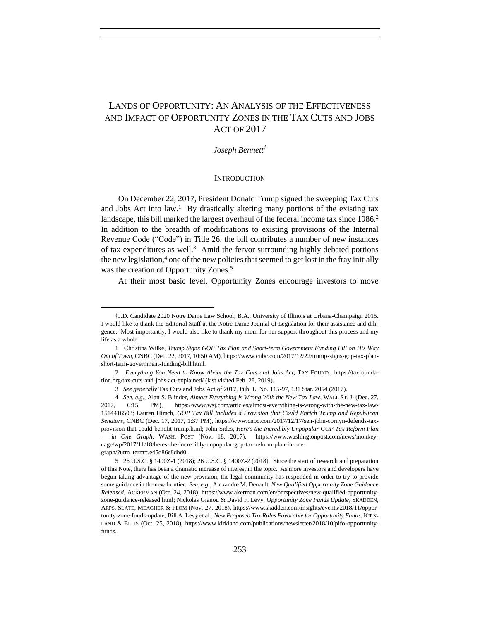### LANDS OF OPPORTUNITY: AN ANALYSIS OF THE EFFECTIVENESS AND IMPACT OF OPPORTUNITY ZONES IN THE TAX CUTS AND JOBS ACT OF 2017

*Joseph Bennett†*

#### **INTRODUCTION**

On December 22, 2017, President Donald Trump signed the sweeping Tax Cuts and Jobs Act into law. 1 By drastically altering many portions of the existing tax landscape, this bill marked the largest overhaul of the federal income tax since 1986.<sup>2</sup> In addition to the breadth of modifications to existing provisions of the Internal Revenue Code ("Code") in Title 26, the bill contributes a number of new instances of tax expenditures as well.<sup>3</sup> Amid the fervor surrounding highly debated portions the new legislation, $4$  one of the new policies that seemed to get lost in the fray initially was the creation of Opportunity Zones.<sup>5</sup>

At their most basic level, Opportunity Zones encourage investors to move

<sup>†</sup>J.D. Candidate 2020 Notre Dame Law School; B.A., University of Illinois at Urbana-Champaign 2015. I would like to thank the Editorial Staff at the Notre Dame Journal of Legislation for their assistance and diligence. Most importantly, I would also like to thank my mom for her support throughout this process and my life as a whole.

<sup>1</sup> Christina Wilke, *Trump Signs GOP Tax Plan and Short-term Government Funding Bill on His Way Out of Town*, CNBC (Dec. 22, 2017, 10:50 AM), https://www.cnbc.com/2017/12/22/trump-signs-gop-tax-planshort-term-government-funding-bill.html.

<sup>2</sup> *Everything You Need to Know About the Tax Cuts and Jobs Act*, TAX FOUND., https://taxfoundation.org/tax-cuts-and-jobs-act-explained/ (last visited Feb. 28, 2019).

<sup>3</sup> *See generally* Tax Cuts and Jobs Act of 2017, Pub. L. No. 115-97, 131 Stat. 2054 (2017).

<sup>4</sup> *See, e.g.*, Alan S. Blinder, *Almost Everything is Wrong With the New Tax Law*, WALL ST. J. (Dec. 27, 2017, 6:15 PM), https://www.wsj.com/articles/almost-everything-is-wrong-with-the-new-tax-law-1514416503; Lauren Hirsch, *GOP Tax Bill Includes a Provision that Could Enrich Trump and Republican Senators*, CNBC (Dec. 17, 2017, 1:37 PM), https://www.cnbc.com/2017/12/17/sen-john-cornyn-defends-taxprovision-that-could-benefit-trump.html; John Sides, *Here's the Incredibly Unpopular GOP Tax Reform Plan — in One Graph*, WASH. POST (Nov. 18, 2017), https://www.washingtonpost.com/news/monkeycage/wp/2017/11/18/heres-the-incredibly-unpopular-gop-tax-reform-plan-in-onegraph/?utm\_term=.e45d86e8dbd0.

<sup>5 26</sup> U.S.C. § 1400Z-1 (2018); 26 U.S.C. § 1400Z-2 (2018). Since the start of research and preparation of this Note, there has been a dramatic increase of interest in the topic. As more investors and developers have begun taking advantage of the new provision, the legal community has responded in order to try to provide some guidance in the new frontier. *See, e.g.*, Alexandre M. Denault, *New Qualified Opportunity Zone Guidance Released*, ACKERMAN (Oct. 24, 2018), https://www.akerman.com/en/perspectives/new-qualified-opportunityzone-guidance-released.html; Nickolas Gianou & David F. Levy, *Opportunity Zone Funds Update*, SKADDEN, ARPS, SLATE, MEAGHER & FLOM (Nov. 27, 2018), https://www.skadden.com/insights/events/2018/11/opportunity-zone-funds-update; Bill A. Levy et al., *New Proposed Tax Rules Favorable for Opportunity Funds*, KIRK-LAND & ELLIS (Oct. 25, 2018), https://www.kirkland.com/publications/newsletter/2018/10/pifo-opportunityfunds.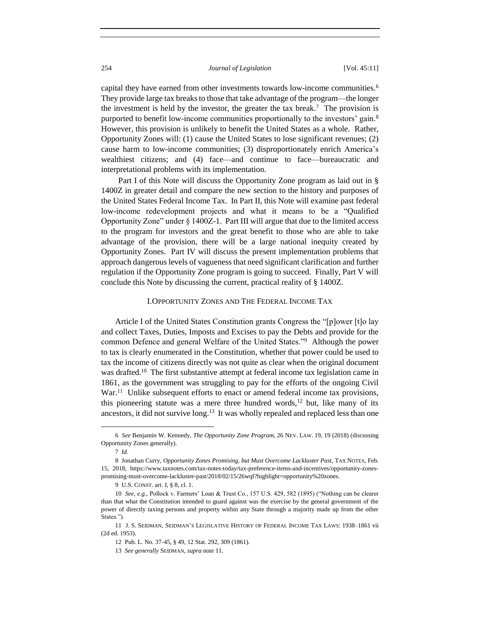capital they have earned from other investments towards low-income communities.<sup>6</sup> They provide large tax breaks to those that take advantage of the program—the longer the investment is held by the investor, the greater the tax break.<sup>7</sup> The provision is purported to benefit low-income communities proportionally to the investors' gain.<sup>8</sup> However, this provision is unlikely to benefit the United States as a whole. Rather, Opportunity Zones will: (1) cause the United States to lose significant revenues; (2) cause harm to low-income communities; (3) disproportionately enrich America's wealthiest citizens; and (4) face—and continue to face—bureaucratic and interpretational problems with its implementation.

Part I of this Note will discuss the Opportunity Zone program as laid out in § 1400Z in greater detail and compare the new section to the history and purposes of the United States Federal Income Tax. In Part II, this Note will examine past federal low-income redevelopment projects and what it means to be a "Qualified Opportunity Zone" under § 1400Z-1. Part III will argue that due to the limited access to the program for investors and the great benefit to those who are able to take advantage of the provision, there will be a large national inequity created by Opportunity Zones. Part IV will discuss the present implementation problems that approach dangerous levels of vagueness that need significant clarification and further regulation if the Opportunity Zone program is going to succeed. Finally, Part V will conclude this Note by discussing the current, practical reality of § 1400Z.

#### I.OPPORTUNITY ZONES AND THE FEDERAL INCOME TAX

Article I of the United States Constitution grants Congress the "[p]ower [t]o lay and collect Taxes, Duties, Imposts and Excises to pay the Debts and provide for the common Defence and general Welfare of the United States."<sup>9</sup> Although the power to tax is clearly enumerated in the Constitution, whether that power could be used to tax the income of citizens directly was not quite as clear when the original document was drafted.<sup>10</sup> The first substantive attempt at federal income tax legislation came in 1861, as the government was struggling to pay for the efforts of the ongoing Civil War.<sup>11</sup> Unlike subsequent efforts to enact or amend federal income tax provisions, this pioneering statute was a mere three hundred words, $12$  but, like many of its ancestors, it did not survive long.<sup>13</sup> It was wholly repealed and replaced less than one

<sup>6</sup> *See* Benjamin W. Kennedy, *The Opportunity Zone Program*, 26 NEV. LAW. 19, 19 (2018) (discussing Opportunity Zones generally).

<sup>7</sup> *Id*.

<sup>8</sup> Jonathan Curry, *Opportunity Zones Promising, but Must Overcome Lackluster Past*, TAX NOTES, Feb. 15, 2018, https://www.taxnotes.com/tax-notes-today/tax-preference-items-and-incentives/opportunity-zonespromising-must-overcome-lackluster-past/2018/02/15/26wqf?highlight=opportunity%20zones.

<sup>9</sup> U.S. CONST. art. I, § 8, cl. 1.

<sup>10</sup> *See*, *e.g.*, Pollock v. Farmers' Loan & Trust Co., 157 U.S. 429, 582 (1895) ("Nothing can be clearer than that what the Constitution intended to guard against was the exercise by the general government of the power of directly taxing persons and property within any State through a majority made up from the other States.").

<sup>11</sup> J. S. SEIDMAN, SEIDMAN'S LEGISLATIVE HISTORY OF FEDERAL INCOME TAX LAWS: 1938–1861 vii (2d ed. 1953).

<sup>12</sup> Pub. L. No. 37-45, § 49, 12 Stat. 292, 309 (1861).

<sup>13</sup> *See generally* SEIDMAN, *supra* note 11.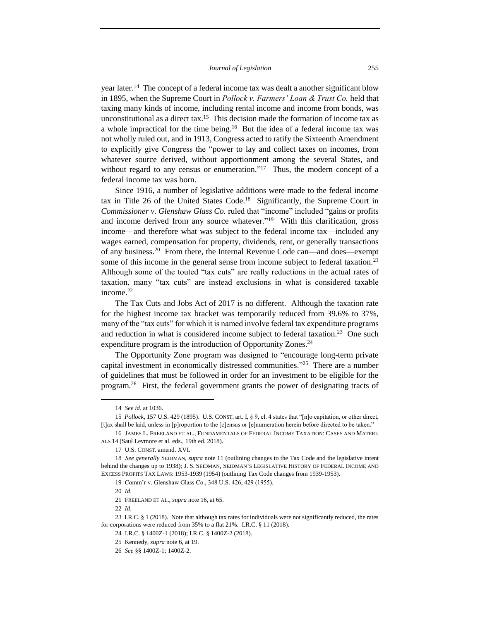year later.<sup>14</sup> The concept of a federal income tax was dealt a another significant blow in 1895, when the Supreme Court in *Pollock v. Farmers' Loan & Trust Co.* held that taxing many kinds of income, including rental income and income from bonds, was unconstitutional as a direct tax. <sup>15</sup> This decision made the formation of income tax as a whole impractical for the time being.<sup>16</sup> But the idea of a federal income tax was not wholly ruled out, and in 1913, Congress acted to ratify the Sixteenth Amendment to explicitly give Congress the "power to lay and collect taxes on incomes, from whatever source derived, without apportionment among the several States, and without regard to any census or enumeration."<sup>17</sup> Thus, the modern concept of a federal income tax was born.

Since 1916, a number of legislative additions were made to the federal income tax in Title 26 of the United States Code.<sup>18</sup> Significantly, the Supreme Court in *Commissioner v. Glenshaw Glass Co.* ruled that "income" included "gains or profits and income derived from any source whatever."<sup>19</sup> With this clarification, gross income—and therefore what was subject to the federal income tax—included any wages earned, compensation for property, dividends, rent, or generally transactions of any business.<sup>20</sup> From there, the Internal Revenue Code can—and does—exempt some of this income in the general sense from income subject to federal taxation.<sup>21</sup> Although some of the touted "tax cuts" are really reductions in the actual rates of taxation, many "tax cuts" are instead exclusions in what is considered taxable income.<sup>22</sup>

The Tax Cuts and Jobs Act of 2017 is no different. Although the taxation rate for the highest income tax bracket was temporarily reduced from 39.6% to 37%, many of the "tax cuts" for which it is named involve federal tax expenditure programs and reduction in what is considered income subject to federal taxation.<sup>23</sup> One such expenditure program is the introduction of Opportunity Zones.<sup>24</sup>

The Opportunity Zone program was designed to "encourage long-term private capital investment in economically distressed communities."<sup>25</sup> There are a number of guidelines that must be followed in order for an investment to be eligible for the program.<sup>26</sup> First, the federal government grants the power of designating tracts of

 $\overline{a}$ 

22 *Id*.

20 *Id*.

<sup>14</sup> *See id*. at 1036.

<sup>15</sup> *Pollock*, 157 U.S. 429 (1895). U.S. CONST. art. I, § 9, cl. 4 states that "[n]o capitation, or other direct, [t]ax shall be laid, unless in [p]roportion to the [c]ensus or [e]numeration herein before directed to be taken."

<sup>16</sup> JAMES L. FREELAND ET AL., FUNDAMENTALS OF FEDERAL INCOME TAXATION: CASES AND MATERI-ALS 14 (Saul Levmore et al. eds., 19th ed. 2018).

<sup>17</sup> U.S. CONST. amend. XVI.

<sup>18</sup> *See generally* SEIDMAN, *supra* note 11 (outlining changes to the Tax Code and the legislative intent behind the changes up to 1938); J. S. SEIDMAN, SEIDMAN'S LEGISLATIVE HISTORY OF FEDERAL INCOME AND EXCESS PROFITS TAX LAWS: 1953-1939 (1954) (outlining Tax Code changes from 1939-1953).

<sup>19</sup> Comm'r v. Glenshaw Glass Co., 348 U.S. 426, 429 (1955).

<sup>21</sup> FREELAND ET AL., *supra* note 16, at 65.

<sup>23</sup> I.R.C. § 1 (2018). Note that although tax rates for individuals were not significantly reduced, the rates for corporations were reduced from 35% to a flat 21%. I.R.C. § 11 (2018).

<sup>24</sup> I.R.C. § 1400Z-1 (2018); I.R.C. § 1400Z-2 (2018).

<sup>25</sup> Kennedy, *supra* note 6, at 19.

<sup>26</sup> *See* §§ 1400Z-1; 1400Z-2.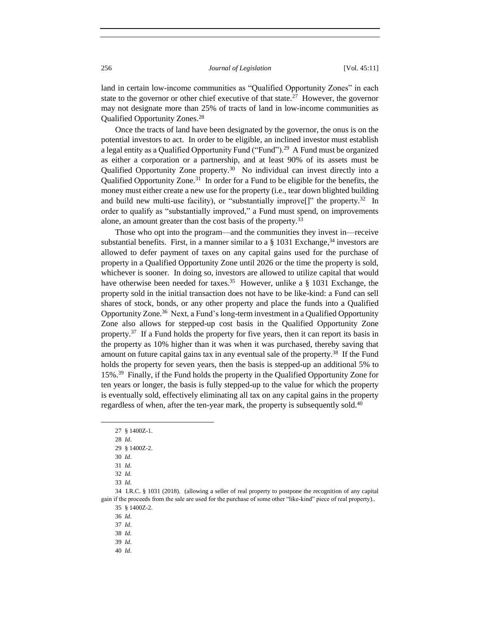land in certain low-income communities as "Qualified Opportunity Zones" in each state to the governor or other chief executive of that state.<sup>27</sup> However, the governor may not designate more than 25% of tracts of land in low-income communities as Qualified Opportunity Zones.<sup>28</sup>

Once the tracts of land have been designated by the governor, the onus is on the potential investors to act. In order to be eligible, an inclined investor must establish a legal entity as a Qualified Opportunity Fund ("Fund").<sup>29</sup> A Fund must be organized as either a corporation or a partnership, and at least 90% of its assets must be Qualified Opportunity Zone property.<sup>30</sup> No individual can invest directly into a Qualified Opportunity Zone.<sup>31</sup> In order for a Fund to be eligible for the benefits, the money must either create a new use for the property (i.e., tear down blighted building and build new multi-use facility), or "substantially improve<sup>[]"</sup> the property.<sup>32</sup> In order to qualify as "substantially improved," a Fund must spend, on improvements alone, an amount greater than the cost basis of the property.<sup>33</sup>

Those who opt into the program—and the communities they invest in—receive substantial benefits. First, in a manner similar to a  $\S$  1031 Exchange,<sup>34</sup> investors are allowed to defer payment of taxes on any capital gains used for the purchase of property in a Qualified Opportunity Zone until 2026 or the time the property is sold, whichever is sooner. In doing so, investors are allowed to utilize capital that would have otherwise been needed for taxes.<sup>35</sup> However, unlike a  $\S$  1031 Exchange, the property sold in the initial transaction does not have to be like-kind: a Fund can sell shares of stock, bonds, or any other property and place the funds into a Qualified Opportunity Zone.<sup>36</sup> Next, a Fund's long-term investment in a Qualified Opportunity Zone also allows for stepped-up cost basis in the Qualified Opportunity Zone property.<sup>37</sup> If a Fund holds the property for five years, then it can report its basis in the property as 10% higher than it was when it was purchased, thereby saving that amount on future capital gains tax in any eventual sale of the property.<sup>38</sup> If the Fund holds the property for seven years, then the basis is stepped-up an additional 5% to 15%<sup>39</sup> Finally, if the Fund holds the property in the Qualified Opportunity Zone for ten years or longer, the basis is fully stepped-up to the value for which the property is eventually sold, effectively eliminating all tax on any capital gains in the property regardless of when, after the ten-year mark, the property is subsequently sold.<sup>40</sup>

<sup>27</sup> § 1400Z-1.

<sup>28</sup> *Id*.

<sup>29</sup> § 1400Z-2.

<sup>30</sup> *Id*.

<sup>31</sup> *Id*.

<sup>32</sup> *Id*.

<sup>33</sup> *Id*.

<sup>34</sup> I.R.C. § 1031 (2018). (allowing a seller of real property to postpone the recognition of any capital gain if the proceeds from the sale are used for the purchase of some other "like-kind" piece of real property).. 35 § 1400Z-2.

<sup>36</sup> *Id*.

<sup>37</sup> *Id*.

<sup>38</sup> *Id*.

<sup>39</sup> *Id*.

<sup>40</sup> *Id*.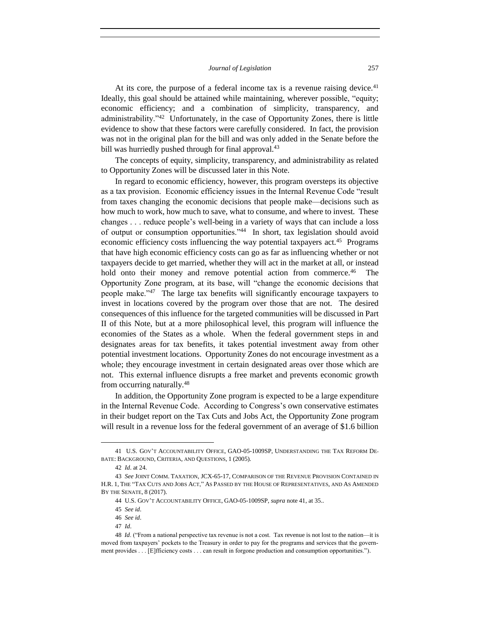At its core, the purpose of a federal income tax is a revenue raising device. $41$ Ideally, this goal should be attained while maintaining, wherever possible, "equity; economic efficiency; and a combination of simplicity, transparency, and administrability."<sup>42</sup> Unfortunately, in the case of Opportunity Zones, there is little evidence to show that these factors were carefully considered. In fact, the provision was not in the original plan for the bill and was only added in the Senate before the bill was hurriedly pushed through for final approval.<sup>43</sup>

The concepts of equity, simplicity, transparency, and administrability as related to Opportunity Zones will be discussed later in this Note.

In regard to economic efficiency, however, this program oversteps its objective as a tax provision. Economic efficiency issues in the Internal Revenue Code "result from taxes changing the economic decisions that people make—decisions such as how much to work, how much to save, what to consume, and where to invest. These changes . . . reduce people's well-being in a variety of ways that can include a loss of output or consumption opportunities."<sup>44</sup> In short, tax legislation should avoid economic efficiency costs influencing the way potential taxpayers act.<sup>45</sup> Programs that have high economic efficiency costs can go as far as influencing whether or not taxpayers decide to get married, whether they will act in the market at all, or instead hold onto their money and remove potential action from commerce.<sup>46</sup> The Opportunity Zone program, at its base, will "change the economic decisions that people make."<sup>47</sup> The large tax benefits will significantly encourage taxpayers to invest in locations covered by the program over those that are not. The desired consequences of this influence for the targeted communities will be discussed in Part II of this Note, but at a more philosophical level, this program will influence the economies of the States as a whole. When the federal government steps in and designates areas for tax benefits, it takes potential investment away from other potential investment locations. Opportunity Zones do not encourage investment as a whole; they encourage investment in certain designated areas over those which are not. This external influence disrupts a free market and prevents economic growth from occurring naturally.<sup>48</sup>

In addition, the Opportunity Zone program is expected to be a large expenditure in the Internal Revenue Code. According to Congress's own conservative estimates in their budget report on the Tax Cuts and Jobs Act, the Opportunity Zone program will result in a revenue loss for the federal government of an average of \$1.6 billion

<sup>41</sup> U.S. GOV'T ACCOUNTABILITY OFFICE, GAO-05-1009SP, UNDERSTANDING THE TAX REFORM DE-BATE: BACKGROUND, CRITERIA, AND QUESTIONS, 1 (2005).

<sup>42</sup> *Id*. at 24.

<sup>43</sup> *See* JOINT COMM. TAXATION, JCX-65-17, COMPARISON OF THE REVENUE PROVISION CONTAINED IN H.R. 1, THE "TAX CUTS AND JOBS ACT," AS PASSED BY THE HOUSE OF REPRESENTATIVES, AND AS AMENDED BY THE SENATE, 8 (2017).

<sup>44</sup> U.S. GOV'T ACCOUNTABILITY OFFICE, GAO-05-1009SP, *supra* note 41, at 35..

<sup>45</sup> *See id*.

<sup>46</sup> *See id*.

<sup>47</sup> *Id*.

<sup>48</sup> *Id*. ("From a national perspective tax revenue is not a cost. Tax revenue is not lost to the nation—it is moved from taxpayers' pockets to the Treasury in order to pay for the programs and services that the government provides . . . [E]fficiency costs . . . can result in forgone production and consumption opportunities.").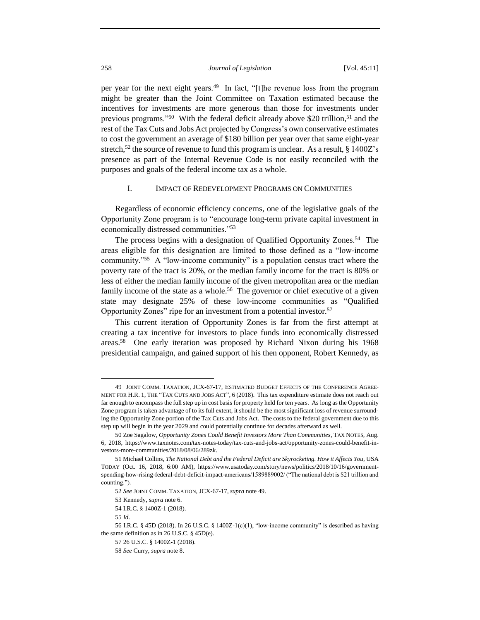per year for the next eight years.<sup>49</sup> In fact, "[t]he revenue loss from the program might be greater than the Joint Committee on Taxation estimated because the incentives for investments are more generous than those for investments under previous programs."<sup>50</sup> With the federal deficit already above \$20 trillion,<sup>51</sup> and the rest of the Tax Cuts and Jobs Act projected by Congress's own conservative estimates to cost the government an average of \$180 billion per year over that same eight-year stretch,<sup>52</sup> the source of revenue to fund this program is unclear. As a result, § 1400Z's presence as part of the Internal Revenue Code is not easily reconciled with the purposes and goals of the federal income tax as a whole.

#### I. IMPACT OF REDEVELOPMENT PROGRAMS ON COMMUNITIES

Regardless of economic efficiency concerns, one of the legislative goals of the Opportunity Zone program is to "encourage long-term private capital investment in economically distressed communities."<sup>53</sup>

The process begins with a designation of Qualified Opportunity Zones.<sup>54</sup> The areas eligible for this designation are limited to those defined as a "low-income community."<sup>55</sup> A "low-income community" is a population census tract where the poverty rate of the tract is 20%, or the median family income for the tract is 80% or less of either the median family income of the given metropolitan area or the median family income of the state as a whole.<sup>56</sup> The governor or chief executive of a given state may designate 25% of these low-income communities as "Qualified Opportunity Zones" ripe for an investment from a potential investor.<sup>57</sup>

This current iteration of Opportunity Zones is far from the first attempt at creating a tax incentive for investors to place funds into economically distressed areas.<sup>58</sup> One early iteration was proposed by Richard Nixon during his 1968 presidential campaign, and gained support of his then opponent, Robert Kennedy, as

<sup>49</sup> JOINT COMM. TAXATION, JCX-67-17, ESTIMATED BUDGET EFFECTS OF THE CONFERENCE AGREE-MENT FOR H.R. 1, THE "TAX CUTS AND JOBS ACT", 6 (2018). This tax expenditure estimate does not reach out far enough to encompass the full step up in cost basis for property held for ten years. As long as the Opportunity Zone program is taken advantage of to its full extent, it should be the most significant loss of revenue surrounding the Opportunity Zone portion of the Tax Cuts and Jobs Act. The costs to the federal government due to this step up will begin in the year 2029 and could potentially continue for decades afterward as well.

<sup>50</sup> Zoe Sagalow, *Opportunity Zones Could Benefit Investors More Than Communities*, TAX NOTES, Aug. 6, 2018, https://www.taxnotes.com/tax-notes-today/tax-cuts-and-jobs-act/opportunity-zones-could-benefit-investors-more-communities/2018/08/06/289zk.

<sup>51</sup> Michael Collins, *The National Debt and the Federal Deficit are Skyrocketing. How it Affects You*, USA TODAY (Oct. 16, 2018, 6:00 AM), https://www.usatoday.com/story/news/politics/2018/10/16/governmentspending-how-rising-federal-debt-deficit-impact-americans/1589889002/ ("The national debt is \$21 trillion and counting.").

<sup>52</sup> *See* JOINT COMM. TAXATION, JCX-67-17, *supra* note 49.

<sup>53</sup> Kennedy, *supra* note 6.

<sup>54</sup> I.R.C. § 1400Z-1 (2018).

<sup>55</sup> *Id*.

<sup>56</sup> I.R.C. § 45D (2018). In 26 U.S.C. § 1400Z-1(c)(1), "low-income community" is described as having the same definition as in 26 U.S.C. § 45D(e).

<sup>57</sup> 26 U.S.C. § 1400Z-1 (2018).

<sup>58</sup> *See* Curry, *supra* note 8.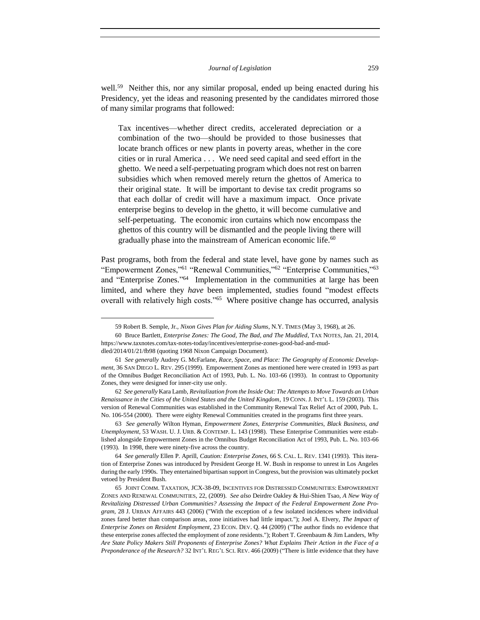well.<sup>59</sup> Neither this, nor any similar proposal, ended up being enacted during his Presidency, yet the ideas and reasoning presented by the candidates mirrored those of many similar programs that followed:

Tax incentives—whether direct credits, accelerated depreciation or a combination of the two—should be provided to those businesses that locate branch offices or new plants in poverty areas, whether in the core cities or in rural America . . . We need seed capital and seed effort in the ghetto. We need a self-perpetuating program which does not rest on barren subsidies which when removed merely return the ghettos of America to their original state. It will be important to devise tax credit programs so that each dollar of credit will have a maximum impact. Once private enterprise begins to develop in the ghetto, it will become cumulative and self-perpetuating. The economic iron curtains which now encompass the ghettos of this country will be dismantled and the people living there will gradually phase into the mainstream of American economic life.<sup>60</sup>

Past programs, both from the federal and state level, have gone by names such as "Empowerment Zones,"<sup>61</sup> "Renewal Communities,"<sup>62</sup> "Enterprise Communities,"<sup>63</sup> and "Enterprise Zones." 64 Implementation in the communities at large has been limited, and where they *have* been implemented, studies found "modest effects overall with relatively high costs."<sup>65</sup> Where positive change has occurred, analysis

<sup>59</sup> Robert B. Semple, Jr., *Nixon Gives Plan for Aiding Slums*, N.Y. TIMES (May 3, 1968), at 26.

<sup>60</sup> Bruce Bartlett, *Enterprise Zones: The Good, The Bad, and The Muddled*, TAX NOTES, Jan. 21, 2014, https://www.taxnotes.com/tax-notes-today/incentives/enterprise-zones-good-bad-and-muddled/2014/01/21/fb98 (quoting 1968 Nixon Campaign Document).

<sup>61</sup> *See generally* Audrey G. McFarlane, *Race, Space, and Place: The Geography of Economic Development*, 36 SAN DIEGO L. REV. 295 (1999). Empowerment Zones as mentioned here were created in 1993 as part of the Omnibus Budget Reconciliation Act of 1993, Pub. L. No. 103-66 (1993). In contrast to Opportunity Zones, they were designed for inner-city use only.

<sup>62</sup> *See generally* Kara Lamb, *Revitalization from the Inside Out: The Attempts to Move Towards an Urban Renaissance in the Cities of the United States and the United Kingdom*, 19 CONN. J. INT'L L. 159 (2003). This version of Renewal Communities was established in the Community Renewal Tax Relief Act of 2000, Pub. L. No. 106-554 (2000). There were eighty Renewal Communities created in the programs first three years.

<sup>63</sup> *See generally* Wilton Hyman, *Empowerment Zones, Enterprise Communities, Black Business, and Unemployment*, 53 WASH. U. J. URB. & CONTEMP. L. 143 (1998). These Enterprise Communities were established alongside Empowerment Zones in the Omnibus Budget Reconciliation Act of 1993, Pub. L. No. 103-66 (1993). In 1998, there were ninety-five across the country.

<sup>64</sup> *See generally* Ellen P. Aprill, *Caution: Enterprise Zones*, 66 S. CAL. L. REV. 1341 (1993). This iteration of Enterprise Zones was introduced by President George H. W. Bush in response to unrest in Los Angeles during the early 1990s. They entertained bipartisan support in Congress, but the provision was ultimately pocket vetoed by President Bush.

<sup>65</sup> JOINT COMM. TAXATION, JCX-38-09, INCENTIVES FOR DISTRESSED COMMUNITIES: EMPOWERMENT ZONES AND RENEWAL COMMUNITIES, 22, (2009). *See also* Deirdre Oakley & Hui-Shien Tsao, *A New Way of Revitalizing Distressed Urban Communities? Assessing the Impact of the Federal Empowerment Zone Program*, 28 J. URBAN AFFAIRS 443 (2006) ("With the exception of a few isolated incidences where individual zones fared better than comparison areas, zone initiatives had little impact."); Joel A. Elvery, *The Impact of Enterprise Zones on Resident Employment*, 23 ECON. DEV. Q. 44 (2009) ("The author finds no evidence that these enterprise zones affected the employment of zone residents."); Robert T. Greenbaum & Jim Landers, *Why Are State Policy Makers Still Proponents of Enterprise Zones? What Explains Their Action in the Face of a Preponderance of the Research?* 32 INT'L REG'L SCI. REV. 466 (2009) ("There is little evidence that they have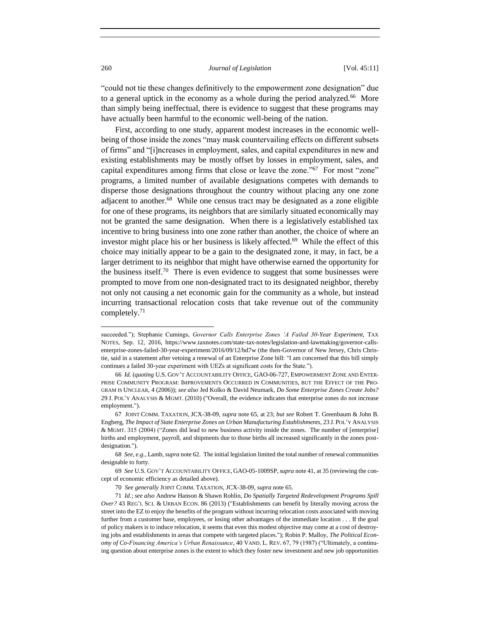"could not tie these changes definitively to the empowerment zone designation" due to a general uptick in the economy as a whole during the period analyzed.<sup>66</sup> More than simply being ineffectual, there is evidence to suggest that these programs may have actually been harmful to the economic well-being of the nation.

First, according to one study, apparent modest increases in the economic wellbeing of those inside the zones "may mask countervailing effects on different subsets of firms" and "[i]ncreases in employment, sales, and capital expenditures in new and existing establishments may be mostly offset by losses in employment, sales, and capital expenditures among firms that close or leave the zone."<sup>67</sup> For most "zone" programs, a limited number of available designations competes with demands to disperse those designations throughout the country without placing any one zone adjacent to another.<sup>68</sup> While one census tract may be designated as a zone eligible for one of these programs, its neighbors that are similarly situated economically may not be granted the same designation. When there is a legislatively established tax incentive to bring business into one zone rather than another, the choice of where an investor might place his or her business is likely affected.<sup>69</sup> While the effect of this choice may initially appear to be a gain to the designated zone, it may, in fact, be a larger detriment to its neighbor that might have otherwise earned the opportunity for the business itself.<sup>70</sup> There is even evidence to suggest that some businesses were prompted to move from one non-designated tract to its designated neighbor, thereby not only not causing a net economic gain for the community as a whole, but instead incurring transactional relocation costs that take revenue out of the community completely.<sup>71</sup>

succeeded."); Stephanie Cumings, *Governor Calls Enterprise Zones 'A Failed 30-Year Experiment*, TAX NOTES, Sep. 12, 2016, https://www.taxnotes.com/state-tax-notes/legislation-and-lawmaking/governor-callsenterprise-zones-failed-30-year-experiment/2016/09/12/bd7w (the then-Governor of New Jersey, Chris Christie, said in a statement after vetoing a renewal of an Enterprise Zone bill: "I am concerned that this bill simply continues a failed 30-year experiment with UEZs at significant costs for the State.").

<sup>66</sup> *Id*. (*quoting* U.S. GOV'T ACCOUNTABILITY OFFICE, GAO-06-727, EMPOWERMENT ZONE AND ENTER-PRISE COMMUNITY PROGRAM: IMPROVEMENTS OCCURRED IN COMMUNITIES, BUT THE EFFECT OF THE PRO-GRAM IS UNCLEAR, 4 (2006)); *see also* Jed Kolko & David Neumark, *Do Some Enterprise Zones Create Jobs?* 29 J. POL'Y ANALYSIS & MGMT. (2010) ("Overall, the evidence indicates that enterprise zones do not increase employment.").

<sup>67</sup> JOINT COMM. TAXATION, JCX-38-09, *supra* note 65, at 23; *but see* Robert T. Greenbaum & John B. Engberg, *The Impact of State Enterprise Zones on Urban Manufacturing Establishments*, 23 J. POL'Y ANALYSIS & MGMT. 315 (2004) ("Zones did lead to new business activity inside the zones. The number of [enterprise] births and employment, payroll, and shipments due to those births all increased significantly in the zones postdesignation.").

<sup>68</sup> *See*, *e.g.*, Lamb, *supra* note 62. The initial legislation limited the total number of renewal communities designable to forty.

<sup>69</sup> *See* U.S. GOV'T ACCOUNTABILITY OFFICE, GAO-05-1009SP,*supra* note 41, at 35 (reviewing the concept of economic efficiency as detailed above).

<sup>70</sup> *See generally* JOINT COMM. TAXATION, JCX-38-09, *supra* note 65.

<sup>71</sup> *Id*.; *see also* Andrew Hanson & Shawn Rohlin, *Do Spatially Targeted Redevelopment Programs Spill Over?* 43 REG'L SCI. & URBAN ECON. 86 (2013) ("Establishments can benefit by literally moving across the street into the EZ to enjoy the benefits of the program without incurring relocation costs associated with moving further from a customer base, employees, or losing other advantages of the immediate location . . . If the goal of policy makers is to induce relocation, it seems that even this modest objective may come at a cost of destroying jobs and establishments in areas that compete with targeted places."); Robin P. Malloy, *The Political Economy of Co-Financing America's Urban Renaissance*, 40 VAND. L. REV. 67, 79 (1987) ("Ultimately, a continuing question about enterprise zones is the extent to which they foster new investment and new job opportunities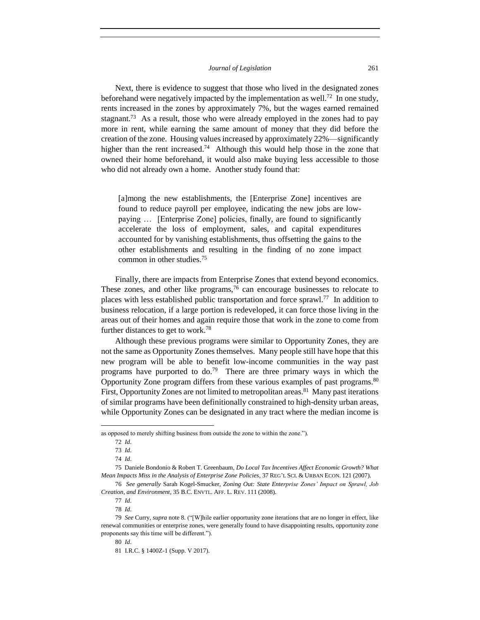Next, there is evidence to suggest that those who lived in the designated zones beforehand were negatively impacted by the implementation as well.<sup>72</sup> In one study, rents increased in the zones by approximately 7%, but the wages earned remained stagnant.<sup>73</sup> As a result, those who were already employed in the zones had to pay more in rent, while earning the same amount of money that they did before the creation of the zone. Housing values increased by approximately 22%—significantly higher than the rent increased.<sup>74</sup> Although this would help those in the zone that owned their home beforehand, it would also make buying less accessible to those who did not already own a home. Another study found that:

[a]mong the new establishments, the [Enterprise Zone] incentives are found to reduce payroll per employee, indicating the new jobs are lowpaying … [Enterprise Zone] policies, finally, are found to significantly accelerate the loss of employment, sales, and capital expenditures accounted for by vanishing establishments, thus offsetting the gains to the other establishments and resulting in the finding of no zone impact common in other studies.<sup>75</sup>

Finally, there are impacts from Enterprise Zones that extend beyond economics. These zones, and other like programs,  $76$  can encourage businesses to relocate to places with less established public transportation and force sprawl.<sup>77</sup> In addition to business relocation, if a large portion is redeveloped, it can force those living in the areas out of their homes and again require those that work in the zone to come from further distances to get to work.<sup>78</sup>

Although these previous programs were similar to Opportunity Zones, they are not the same as Opportunity Zones themselves. Many people still have hope that this new program will be able to benefit low-income communities in the way past programs have purported to  $do.^{79}$  There are three primary ways in which the Opportunity Zone program differs from these various examples of past programs.<sup>80</sup> First, Opportunity Zones are not limited to metropolitan areas.<sup>81</sup> Many past iterations of similar programs have been definitionally constrained to high-density urban areas, while Opportunity Zones can be designated in any tract where the median income is

as opposed to merely shifting business from outside the zone to within the zone.").

<sup>72</sup> *Id*.

<sup>73</sup> *Id*.

<sup>74</sup> *Id*.

<sup>75</sup> Daniele Bondonio & Robert T. Greenbaum, *Do Local Tax Incentives Affect Economic Growth? What Mean Impacts Miss in the Analysis of Enterprise Zone Policies*, 37 REG'L SCI. & URBAN ECON. 121 (2007).

<sup>76</sup> *See generally* Sarah Kogel-Smucker, *Zoning Out: State Enterprise Zones' Impact on Sprawl, Job Creation, and Environment*, 35 B.C. ENVTL. AFF. L. REV. 111 (2008).

<sup>77</sup> *Id*.

<sup>78</sup> *Id*.

<sup>79</sup> *See* Curry, *supra* note 8. ("[W]hile earlier opportunity zone iterations that are no longer in effect, like renewal communities or enterprise zones, were generally found to have disappointing results, opportunity zone proponents say this time will be different.").

<sup>80</sup> *Id*.

<sup>81</sup> I.R.C. § 1400Z-1 (Supp. V 2017).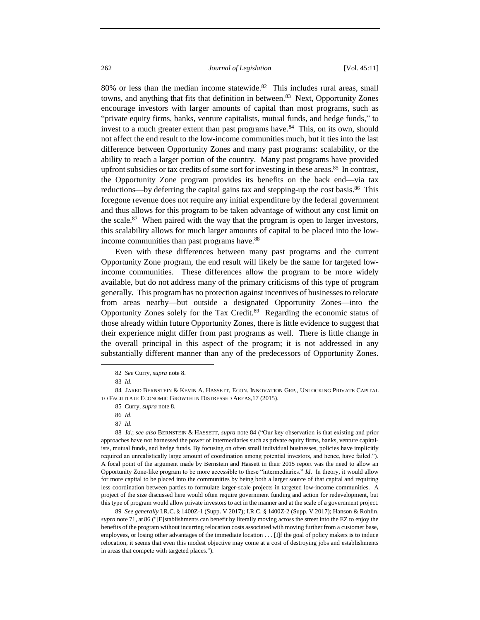$80\%$  or less than the median income statewide.<sup>82</sup> This includes rural areas, small towns, and anything that fits that definition in between.<sup>83</sup> Next, Opportunity Zones encourage investors with larger amounts of capital than most programs, such as "private equity firms, banks, venture capitalists, mutual funds, and hedge funds," to invest to a much greater extent than past programs have.<sup>84</sup> This, on its own, should not affect the end result to the low-income communities much, but it ties into the last difference between Opportunity Zones and many past programs: scalability, or the ability to reach a larger portion of the country. Many past programs have provided upfront subsidies or tax credits of some sort for investing in these areas.<sup>85</sup> In contrast, the Opportunity Zone program provides its benefits on the back end—via tax reductions—by deferring the capital gains tax and stepping-up the cost basis.<sup>86</sup> This foregone revenue does not require any initial expenditure by the federal government and thus allows for this program to be taken advantage of without any cost limit on the scale. $87$  When paired with the way that the program is open to larger investors, this scalability allows for much larger amounts of capital to be placed into the lowincome communities than past programs have.<sup>88</sup>

Even with these differences between many past programs and the current Opportunity Zone program, the end result will likely be the same for targeted lowincome communities. These differences allow the program to be more widely available, but do not address many of the primary criticisms of this type of program generally. This program has no protection against incentives of businesses to relocate from areas nearby—but outside a designated Opportunity Zones—into the Opportunity Zones solely for the Tax Credit.<sup>89</sup> Regarding the economic status of those already within future Opportunity Zones, there is little evidence to suggest that their experience might differ from past programs as well. There is little change in the overall principal in this aspect of the program; it is not addressed in any substantially different manner than any of the predecessors of Opportunity Zones.

 $\overline{a}$ 

85 Curry, *supra* note 8.

88 *Id*.; *see also* BERNSTEIN & HASSETT, *supra* note 84 ("Our key observation is that existing and prior approaches have not harnessed the power of intermediaries such as private equity firms, banks, venture capitalists, mutual funds, and hedge funds. By focusing on often small individual businesses, policies have implicitly required an unrealistically large amount of coordination among potential investors, and hence, have failed."). A focal point of the argument made by Bernstein and Hassett in their 2015 report was the need to allow an Opportunity Zone-like program to be more accessible to these "intermediaries." *Id*. In theory, it would allow for more capital to be placed into the communities by being both a larger source of that capital and requiring less coordination between parties to formulate larger-scale projects in targeted low-income communities. A project of the size discussed here would often require government funding and action for redevelopment, but this type of program would allow private investors to act in the manner and at the scale of a government project.

89 *See generally* I.R.C. § 1400Z-1 (Supp. V 2017); I.R.C. § 1400Z-2 (Supp. V 2017); Hanson & Rohlin, *supra* note 71, at 86 ("[E]stablishments can benefit by literally moving across the street into the EZ to enjoy the benefits of the program without incurring relocation costs associated with moving further from a customer base, employees, or losing other advantages of the immediate location . . . [I]f the goal of policy makers is to induce relocation, it seems that even this modest objective may come at a cost of destroying jobs and establishments in areas that compete with targeted places.").

<sup>82</sup> *See* Curry, *supra* note 8.

<sup>83</sup> *Id*.

<sup>84</sup> JARED BERNSTEIN & KEVIN A. HASSETT, ECON. INNOVATION GRP., UNLOCKING PRIVATE CAPITAL TO FACILITATE ECONOMIC GROWTH IN DISTRESSED AREAS,17 (2015).

<sup>86</sup> *Id*.

<sup>87</sup> *Id*.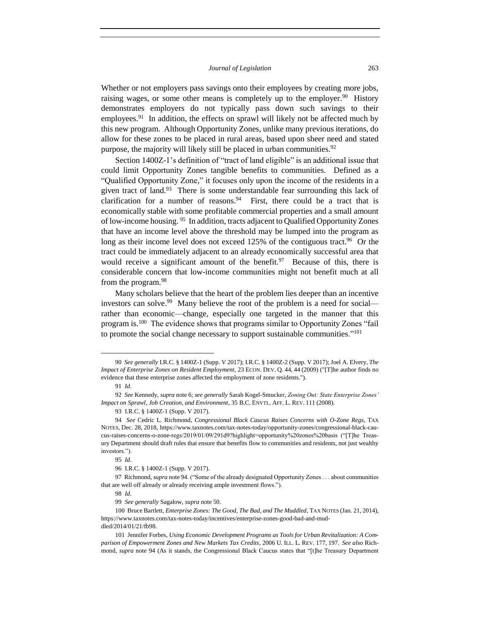Whether or not employers pass savings onto their employees by creating more jobs, raising wages, or some other means is completely up to the employer.<sup>90</sup> History demonstrates employers do not typically pass down such savings to their employees.<sup>91</sup> In addition, the effects on sprawl will likely not be affected much by this new program. Although Opportunity Zones, unlike many previous iterations, do allow for these zones to be placed in rural areas, based upon sheer need and stated purpose, the majority will likely still be placed in urban communities.<sup>92</sup>

Section 1400Z-1's definition of "tract of land eligible" is an additional issue that could limit Opportunity Zones tangible benefits to communities. Defined as a "Qualified Opportunity Zone," it focuses only upon the income of the residents in a given tract of land.<sup>93</sup> There is some understandable fear surrounding this lack of clarification for a number of reasons. $94$  First, there could be a tract that is economically stable with some profitable commercial properties and a small amount of low-income housing. <sup>95</sup> In addition, tracts adjacent to Qualified Opportunity Zones that have an income level above the threshold may be lumped into the program as long as their income level does not exceed 125% of the contiguous tract.<sup>96</sup> Or the tract could be immediately adjacent to an already economically successful area that would receive a significant amount of the benefit. $97$  Because of this, there is considerable concern that low-income communities might not benefit much at all from the program.<sup>98</sup>

Many scholars believe that the heart of the problem lies deeper than an incentive investors can solve.<sup>99</sup> Many believe the root of the problem is a need for social rather than economic—change, especially one targeted in the manner that this program is.<sup>100</sup> The evidence shows that programs similar to Opportunity Zones "fail to promote the social change necessary to support sustainable communities."<sup>101</sup>

<sup>90</sup> *See generally* I.R.C. § 1400Z-1 (Supp. V 2017); I.R.C. § 1400Z-2 (Supp. V 2017); Joel A. Elvery, *The Impact of Enterprise Zones on Resident Employment*, 23 ECON. DEV. Q. 44, 44 (2009) ("[T]he author finds no evidence that these enterprise zones affected the employment of zone residents.").

<sup>91</sup> *Id*.

<sup>92</sup> *See* Kennedy, *supra* note 6; *see generally* Sarah Kogel-Smucker, *Zoning Out: State Enterprise Zones' Impact on Sprawl, Job Creation, and Environment*, 35 B.C. ENVTL. AFF. L. REV. 111 (2008).

<sup>93</sup> I.R.C. § 1400Z-1 (Supp. V 2017).

<sup>94</sup> *See* Cedric L. Richmond, *Congressional Black Caucus Raises Concerns with O-Zone Regs*, TAX NOTES, Dec. 28, 2018, https://www.taxnotes.com/tax-notes-today/opportunity-zones/congressional-black-caucus-raises-concerns-o-zone-regs/2019/01/09/291d9?highlight=opportunity%20zones%20basis ("[T]he Treasury Department should draft rules that ensure that benefits flow to communities and residents, not just wealthy investors.").

<sup>95</sup> *Id*.

<sup>96</sup> I.R.C. § 1400Z-1 (Supp. V 2017).

<sup>97</sup> Richmond, *supra* note 94. ("Some of the already designated Opportunity Zones . . . about communities that are well off already or already receiving ample investment flows.").

<sup>98</sup> *Id*.

<sup>99</sup> *See generally* Sagalow, *supra* note 50.

<sup>100</sup> Bruce Bartlett, *Enterprise Zones: The Good, The Bad, and The Muddled*, TAX NOTES (Jan. 21, 2014), https://www.taxnotes.com/tax-notes-today/incentives/enterprise-zones-good-bad-and-muddled/2014/01/21/fb98.

<sup>101</sup> Jennifer Forbes, *Using Economic Development Programs as Tools for Urban Revitalization: A Comparison of Empowerment Zones and New Markets Tax Credits*, 2006 U. ILL. L. REV. 177, 197. *See also* Richmond, *supra* note 94 (As it stands, the Congressional Black Caucus states that "[t]he Treasury Department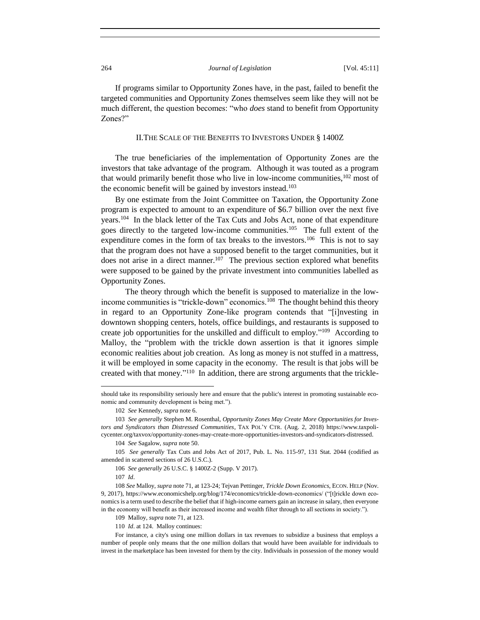If programs similar to Opportunity Zones have, in the past, failed to benefit the targeted communities and Opportunity Zones themselves seem like they will not be much different, the question becomes: "who *does* stand to benefit from Opportunity Zones?"

#### II.THE SCALE OF THE BENEFITS TO INVESTORS UNDER § 1400Z

The true beneficiaries of the implementation of Opportunity Zones are the investors that take advantage of the program. Although it was touted as a program that would primarily benefit those who live in low-income communities,  $102$  most of the economic benefit will be gained by investors instead.<sup>103</sup>

By one estimate from the Joint Committee on Taxation, the Opportunity Zone program is expected to amount to an expenditure of \$6.7 billion over the next five years.<sup>104</sup> In the black letter of the Tax Cuts and Jobs Act, none of that expenditure goes directly to the targeted low-income communities.<sup>105</sup> The full extent of the expenditure comes in the form of tax breaks to the investors.<sup>106</sup> This is not to say that the program does not have a supposed benefit to the target communities, but it does not arise in a direct manner.<sup>107</sup> The previous section explored what benefits were supposed to be gained by the private investment into communities labelled as Opportunity Zones.

The theory through which the benefit is supposed to materialize in the lowincome communities is "trickle-down" economics.<sup>108</sup> The thought behind this theory in regard to an Opportunity Zone-like program contends that "[i]nvesting in downtown shopping centers, hotels, office buildings, and restaurants is supposed to create job opportunities for the unskilled and difficult to employ."<sup>109</sup> According to Malloy, the "problem with the trickle down assertion is that it ignores simple economic realities about job creation. As long as money is not stuffed in a mattress, it will be employed in some capacity in the economy. The result is that jobs will be created with that money."<sup>110</sup> In addition, there are strong arguments that the trickle-

should take its responsibility seriously here and ensure that the public's interest in promoting sustainable economic and community development is being met.").

<sup>102</sup> *See* Kennedy, *supra* note 6.

<sup>103</sup> *See generally* Stephen M. Rosenthal, *Opportunity Zones May Create More Opportunities for Investors and Syndicators than Distressed Communities*, TAX POL'Y CTR. (Aug. 2, 2018) https://www.taxpolicycenter.org/taxvox/opportunity-zones-may-create-more-opportunities-investors-and-syndicators-distressed.

<sup>104</sup> *See* Sagalow, *supra* note 50.

<sup>105</sup> *See generally* Tax Cuts and Jobs Act of 2017, Pub. L. No. 115-97, 131 Stat. 2044 (codified as amended in scattered sections of 26 U.S.C.).

<sup>106</sup> *See generally* 26 U.S.C. § 1400Z-2 (Supp. V 2017).

<sup>107</sup> *Id*.

<sup>108</sup> *See* Malloy, *supra* note 71, at 123-24; Tejvan Pettinger, *Trickle Down Economics*, ECON. HELP (Nov. 9, 2017), https://www.economicshelp.org/blog/174/economics/trickle-down-economics/ ("[t]rickle down economics is a term used to describe the belief that if high-income earners gain an increase in salary, then everyone in the economy will benefit as their increased income and wealth filter through to all sections in society.").

<sup>109</sup> Malloy, *supra* note 71, at 123.

<sup>110</sup> *Id*. at 124. Malloy continues:

For instance, a city's using one million dollars in tax revenues to subsidize a business that employs a number of people only means that the one million dollars that would have been available for individuals to invest in the marketplace has been invested for them by the city. Individuals in possession of the money would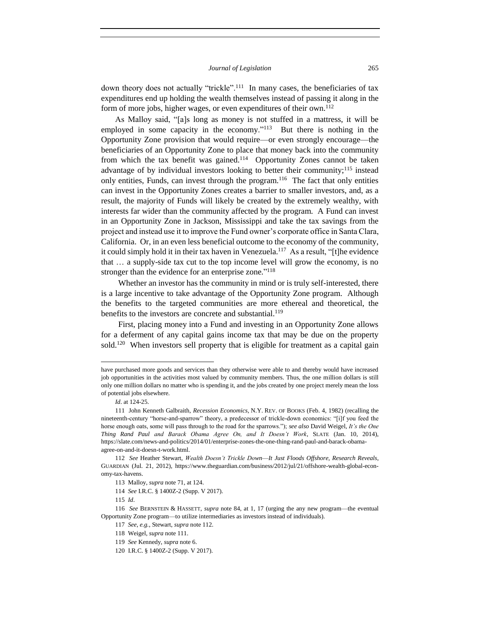down theory does not actually "trickle".<sup>111</sup> In many cases, the beneficiaries of tax expenditures end up holding the wealth themselves instead of passing it along in the form of more jobs, higher wages, or even expenditures of their own.<sup>112</sup>

As Malloy said, "[a]s long as money is not stuffed in a mattress, it will be employed in some capacity in the economy."<sup>113</sup> But there is nothing in the Opportunity Zone provision that would require—or even strongly encourage—the beneficiaries of an Opportunity Zone to place that money back into the community from which the tax benefit was gained.<sup>114</sup> Opportunity Zones cannot be taken advantage of by individual investors looking to better their community;<sup>115</sup> instead only entities, Funds, can invest through the program.<sup>116</sup> The fact that only entities can invest in the Opportunity Zones creates a barrier to smaller investors, and, as a result, the majority of Funds will likely be created by the extremely wealthy, with interests far wider than the community affected by the program. A Fund can invest in an Opportunity Zone in Jackson, Mississippi and take the tax savings from the project and instead use it to improve the Fund owner's corporate office in Santa Clara, California. Or, in an even less beneficial outcome to the economy of the community, it could simply hold it in their tax haven in Venezuela.<sup>117</sup> As a result, "[t]he evidence that … a supply-side tax cut to the top income level will grow the economy, is no stronger than the evidence for an enterprise zone."<sup>118</sup>

Whether an investor has the community in mind or is truly self-interested, there is a large incentive to take advantage of the Opportunity Zone program. Although the benefits to the targeted communities are more ethereal and theoretical, the benefits to the investors are concrete and substantial.<sup>119</sup>

First, placing money into a Fund and investing in an Opportunity Zone allows for a deferment of any capital gains income tax that may be due on the property sold.<sup>120</sup> When investors sell property that is eligible for treatment as a capital gain

have purchased more goods and services than they otherwise were able to and thereby would have increased job opportunities in the activities most valued by community members. Thus, the one million dollars is still only one million dollars no matter who is spending it, and the jobs created by one project merely mean the loss of potential jobs elsewhere.

*Id*. at 124-25.

<sup>111</sup> John Kenneth Galbraith, *Recession Economics*, N.Y. REV. OF BOOKS (Feb. 4, 1982) (recalling the nineteenth-century "horse-and-sparrow" theory, a predecessor of trickle-down economics: "[i]f you feed the horse enough oats, some will pass through to the road for the sparrows."); *see also* David Weigel, *It's the One Thing Rand Paul and Barack Obama Agree On, and It Doesn't Work*, SLATE (Jan. 10, 2014), https://slate.com/news-and-politics/2014/01/enterprise-zones-the-one-thing-rand-paul-and-barack-obamaagree-on-and-it-doesn-t-work.html.

<sup>112</sup> *See* Heather Stewart, *Wealth Doesn't Trickle Down*—*It Just Floods Offshore, Research Reveals*, GUARDIAN (Jul. 21, 2012), https://www.theguardian.com/business/2012/jul/21/offshore-wealth-global-economy-tax-havens.

<sup>113</sup> Malloy, *supra* note 71, at 124.

<sup>114</sup> *See* I.R.C. § 1400Z-2 (Supp. V 2017).

<sup>115</sup> *Id*.

<sup>116</sup> *See* BERNSTEIN & HASSETT, *supra* note 84, at 1, 17 (urging the any new program—the eventual Opportunity Zone program—to utilize intermediaries as investors instead of individuals).

<sup>117</sup> *See*, *e.g.*, Stewart, *supra* note 112.

<sup>118</sup> Weigel, *supra* note 111.

<sup>119</sup> *See* Kennedy, *supra* note 6.

<sup>120</sup> I.R.C. § 1400Z-2 (Supp. V 2017).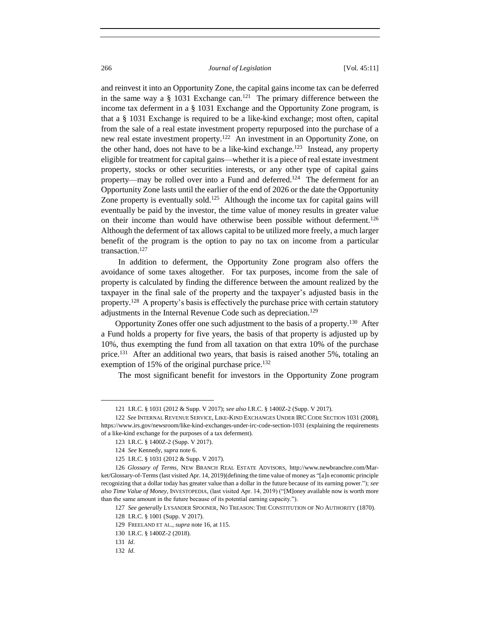and reinvest it into an Opportunity Zone, the capital gains income tax can be deferred in the same way a  $\S$  1031 Exchange can.<sup>121</sup> The primary difference between the income tax deferment in a § 1031 Exchange and the Opportunity Zone program, is that a § 1031 Exchange is required to be a like-kind exchange; most often, capital from the sale of a real estate investment property repurposed into the purchase of a new real estate investment property.<sup>122</sup> An investment in an Opportunity Zone, on the other hand, does not have to be a like-kind exchange.<sup>123</sup> Instead, any property eligible for treatment for capital gains—whether it is a piece of real estate investment property, stocks or other securities interests, or any other type of capital gains property—may be rolled over into a Fund and deferred.<sup>124</sup> The deferment for an Opportunity Zone lasts until the earlier of the end of 2026 or the date the Opportunity Zone property is eventually sold.<sup>125</sup> Although the income tax for capital gains will eventually be paid by the investor, the time value of money results in greater value on their income than would have otherwise been possible without deferment.<sup>126</sup> Although the deferment of tax allows capital to be utilized more freely, a much larger benefit of the program is the option to pay no tax on income from a particular transaction.<sup>127</sup>

In addition to deferment, the Opportunity Zone program also offers the avoidance of some taxes altogether. For tax purposes, income from the sale of property is calculated by finding the difference between the amount realized by the taxpayer in the final sale of the property and the taxpayer's adjusted basis in the property.<sup>128</sup> A property's basis is effectively the purchase price with certain statutory adjustments in the Internal Revenue Code such as depreciation.<sup>129</sup>

Opportunity Zones offer one such adjustment to the basis of a property.<sup>130</sup> After a Fund holds a property for five years, the basis of that property is adjusted up by 10%, thus exempting the fund from all taxation on that extra 10% of the purchase price.<sup>131</sup> After an additional two years, that basis is raised another 5%, totaling an exemption of 15% of the original purchase price. $132$ 

The most significant benefit for investors in the Opportunity Zone program

<sup>121</sup> I.R.C. § 1031 (2012 & Supp. V 2017); *see also* I.R.C. § 1400Z-2 (Supp. V 2017).

<sup>122</sup> *See* INTERNAL REVENUE SERVICE, LIKE-KIND EXCHANGES UNDER IRC CODE SECTION 1031 (2008), https://www.irs.gov/newsroom/like-kind-exchanges-under-irc-code-section-1031 (explaining the requirements of a like-kind exchange for the purposes of a tax deferment).

<sup>123</sup> I.R.C. § 1400Z-2 (Supp. V 2017).

<sup>124</sup> *See* Kennedy, *supra* note 6.

<sup>125</sup> I.R.C. § 1031 (2012 & Supp. V 2017).

<sup>126</sup> *Glossary of Terms*, NEW BRANCH REAL ESTATE ADVISORS, http://www.newbranchre.com/Market/Glossary-of-Terms (last visited Apr. 14, 2019)(defining the time value of money as "[a]n economic principle recognizing that a dollar today has greater value than a dollar in the future because of its earning power."); *see also Time Value of Money*, INVESTOPEDIA, (last visited Apr. 14, 2019) ("[M]oney available now is worth more than the same amount in the future because of its potential earning capacity.").

<sup>127</sup> *See generally* LYSANDER SPOONER, NO TREASON: THE CONSTITUTION OF NO AUTHORITY (1870).

<sup>128</sup> I.R.C. § 1001 (Supp. V 2017).

<sup>129</sup> FREELAND ET AL., *supra* note 16, at 115.

<sup>130</sup> I.R.C. § 1400Z-2 (2018).

<sup>131</sup> *Id*.

<sup>132</sup> *Id*.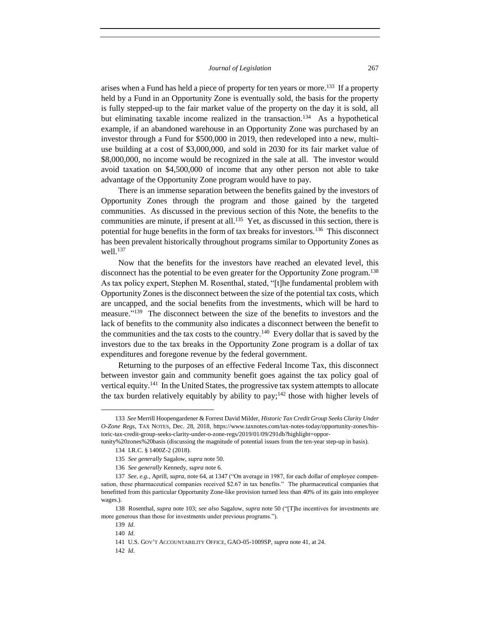arises when a Fund has held a piece of property for ten years or more.<sup>133</sup> If a property held by a Fund in an Opportunity Zone is eventually sold, the basis for the property is fully stepped-up to the fair market value of the property on the day it is sold, all but eliminating taxable income realized in the transaction.<sup>134</sup> As a hypothetical example, if an abandoned warehouse in an Opportunity Zone was purchased by an investor through a Fund for \$500,000 in 2019, then redeveloped into a new, multiuse building at a cost of \$3,000,000, and sold in 2030 for its fair market value of \$8,000,000, no income would be recognized in the sale at all. The investor would avoid taxation on \$4,500,000 of income that any other person not able to take advantage of the Opportunity Zone program would have to pay.

There is an immense separation between the benefits gained by the investors of Opportunity Zones through the program and those gained by the targeted communities. As discussed in the previous section of this Note, the benefits to the communities are minute, if present at all.<sup>135</sup> Yet, as discussed in this section, there is potential for huge benefits in the form of tax breaks for investors.<sup>136</sup> This disconnect has been prevalent historically throughout programs similar to Opportunity Zones as well. 137

Now that the benefits for the investors have reached an elevated level, this disconnect has the potential to be even greater for the Opportunity Zone program.<sup>138</sup> As tax policy expert, Stephen M. Rosenthal, stated, "[t]he fundamental problem with Opportunity Zones is the disconnect between the size of the potential tax costs, which are uncapped, and the social benefits from the investments, which will be hard to measure."<sup>139</sup> The disconnect between the size of the benefits to investors and the lack of benefits to the community also indicates a disconnect between the benefit to the communities and the tax costs to the country.<sup>140</sup> Every dollar that is saved by the investors due to the tax breaks in the Opportunity Zone program is a dollar of tax expenditures and foregone revenue by the federal government.

Returning to the purposes of an effective Federal Income Tax, this disconnect between investor gain and community benefit goes against the tax policy goal of vertical equity.<sup>141</sup> In the United States, the progressive tax system attempts to allocate the tax burden relatively equitably by ability to  $pay; ^{142}$  those with higher levels of

l

142 *Id*.

<sup>133</sup> *See* Merrill Hoopengardener & Forrest David Milder, *Historic Tax Credit Group Seeks Clarity Under O-Zone Regs*, TAX NOTES, Dec. 28, 2018, https://www.taxnotes.com/tax-notes-today/opportunity-zones/historic-tax-credit-group-seeks-clarity-under-o-zone-regs/2019/01/09/291db?highlight=oppor-

tunity%20zones%20basis (discussing the magnitude of potential issues from the ten-year step-up in basis).

<sup>134</sup> I.R.C. § 1400Z-2 (2018).

<sup>135</sup> *See generally* Sagalow, *supra* note 50.

<sup>136</sup> *See generally* Kennedy, *supra* note 6.

<sup>137</sup> *See*, *e.g.*, Aprill, *supra*, note 64, at 1347 ("On average in 1987, for each dollar of employee compensation, these pharmaceutical companies received \$2.67 in tax benefits." The pharmaceutical companies that benefitted from this particular Opportunity Zone-like provision turned less than 40% of its gain into employee wages.).

<sup>138</sup> Rosenthal, *supra* note 103; *see also* Sagalow, *supra* note 50 ("[T]he incentives for investments are more generous than those for investments under previous programs.").

<sup>139</sup> *Id*.

<sup>140</sup> *Id*.

<sup>141</sup> U.S. GOV'T ACCOUNTABILITY OFFICE, GAO-05-1009SP, *supra* note 41, at 24.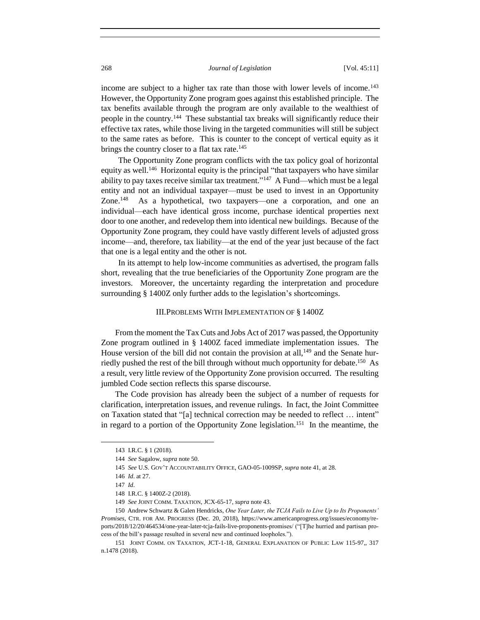income are subject to a higher tax rate than those with lower levels of income.<sup>143</sup> However, the Opportunity Zone program goes against this established principle. The tax benefits available through the program are only available to the wealthiest of people in the country.<sup>144</sup> These substantial tax breaks will significantly reduce their effective tax rates, while those living in the targeted communities will still be subject to the same rates as before. This is counter to the concept of vertical equity as it brings the country closer to a flat tax rate.<sup>145</sup>

The Opportunity Zone program conflicts with the tax policy goal of horizontal equity as well.<sup>146</sup> Horizontal equity is the principal "that taxpayers who have similar ability to pay taxes receive similar tax treatment."<sup>147</sup> A Fund—which must be a legal entity and not an individual taxpayer—must be used to invest in an Opportunity Zone.<sup>148</sup> As a hypothetical, two taxpayers—one a corporation, and one an individual—each have identical gross income, purchase identical properties next door to one another, and redevelop them into identical new buildings. Because of the Opportunity Zone program, they could have vastly different levels of adjusted gross income—and, therefore, tax liability—at the end of the year just because of the fact that one is a legal entity and the other is not.

In its attempt to help low-income communities as advertised, the program falls short, revealing that the true beneficiaries of the Opportunity Zone program are the investors. Moreover, the uncertainty regarding the interpretation and procedure surrounding § 1400Z only further adds to the legislation's shortcomings.

#### III.PROBLEMS WITH IMPLEMENTATION OF § 1400Z

From the moment the Tax Cuts and Jobs Act of 2017 was passed, the Opportunity Zone program outlined in § 1400Z faced immediate implementation issues. The House version of the bill did not contain the provision at all, $149$  and the Senate hurriedly pushed the rest of the bill through without much opportunity for debate.<sup>150</sup> As a result, very little review of the Opportunity Zone provision occurred. The resulting jumbled Code section reflects this sparse discourse.

The Code provision has already been the subject of a number of requests for clarification, interpretation issues, and revenue rulings. In fact, the Joint Committee on Taxation stated that "[a] technical correction may be needed to reflect … intent" in regard to a portion of the Opportunity Zone legislation.<sup>151</sup> In the meantime, the

<sup>143</sup> I.R.C. § 1 (2018).

<sup>144</sup> *See* Sagalow, *supra* note 50.

<sup>145</sup> *See* U.S. GOV'T ACCOUNTABILITY OFFICE, GAO-05-1009SP, *supra* note 41, at 28.

<sup>146</sup> *Id*. at 27.

<sup>147</sup> *Id*.

<sup>148</sup> I.R.C. § 1400Z-2 (2018).

<sup>149</sup> *See* JOINT COMM. TAXATION, JCX-65-17, *supra* note 43.

<sup>150</sup> Andrew Schwartz & Galen Hendricks, *One Year Later, the TCJA Fails to Live Up to Its Proponents' Promises*, CTR. FOR AM. PROGRESS (Dec. 20, 2018), https://www.americanprogress.org/issues/economy/reports/2018/12/20/464534/one-year-later-tcja-fails-live-proponents-promises/ ("[T]he hurried and partisan process of the bill's passage resulted in several new and continued loopholes.").

<sup>151</sup> JOINT COMM. ON TAXATION, JCT-1-18, GENERAL EXPLANATION OF PUBLIC LAW 115-97*,*, 317 n.1478 (2018).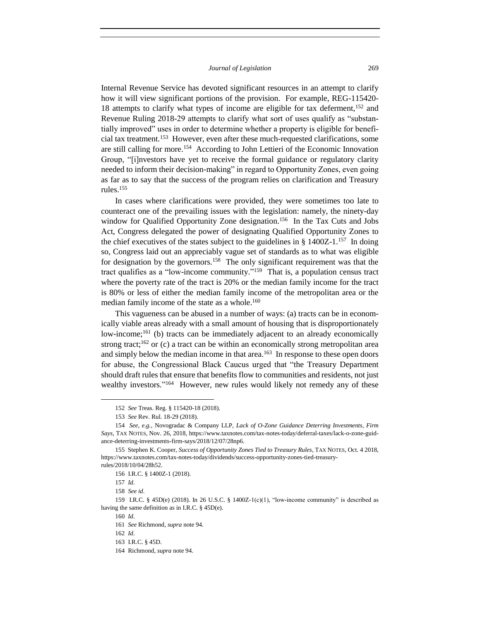Internal Revenue Service has devoted significant resources in an attempt to clarify how it will view significant portions of the provision. For example, REG-115420- 18 attempts to clarify what types of income are eligible for tax deferment,<sup>152</sup> and Revenue Ruling 2018-29 attempts to clarify what sort of uses qualify as "substantially improved" uses in order to determine whether a property is eligible for beneficial tax treatment.<sup>153</sup> However, even after these much-requested clarifications, some are still calling for more.<sup>154</sup> According to John Lettieri of the Economic Innovation Group, "[i]nvestors have yet to receive the formal guidance or regulatory clarity needed to inform their decision-making" in regard to Opportunity Zones, even going as far as to say that the success of the program relies on clarification and Treasury rules.<sup>155</sup>

In cases where clarifications were provided, they were sometimes too late to counteract one of the prevailing issues with the legislation: namely, the ninety-day window for Qualified Opportunity Zone designation.<sup>156</sup> In the Tax Cuts and Jobs Act, Congress delegated the power of designating Qualified Opportunity Zones to the chief executives of the states subject to the guidelines in  $\S$  1400Z-1.<sup>157</sup> In doing so, Congress laid out an appreciably vague set of standards as to what was eligible for designation by the governors.<sup>158</sup> The only significant requirement was that the tract qualifies as a "low-income community." <sup>159</sup> That is, a population census tract where the poverty rate of the tract is 20% or the median family income for the tract is 80% or less of either the median family income of the metropolitan area or the median family income of the state as a whole.<sup>160</sup>

This vagueness can be abused in a number of ways: (a) tracts can be in economically viable areas already with a small amount of housing that is disproportionately low-income;<sup>161</sup> (b) tracts can be immediately adjacent to an already economically strong tract;<sup>162</sup> or (c) a tract can be within an economically strong metropolitan area and simply below the median income in that area.<sup>163</sup> In response to these open doors for abuse, the Congressional Black Caucus urged that "the Treasury Department should draft rules that ensure that benefits flow to communities and residents, not just wealthy investors."<sup>164</sup> However, new rules would likely not remedy any of these

<sup>152</sup> *See* Treas. Reg. § 115420-18 (2018).

<sup>153</sup> *See* Rev. Rul. 18-29 (2018).

<sup>154</sup> *See*, *e.g.*, Novogradac & Company LLP, *Lack of O-Zone Guidance Deterring Investments, Firm Says*, TAX NOTES, Nov. 26, 2018, https://www.taxnotes.com/tax-notes-today/deferral-taxes/lack-o-zone-guidance-deterring-investments-firm-says/2018/12/07/28np6.

<sup>155</sup> Stephen K. Cooper, *Success of Opportunity Zones Tied to Treasury Rules*, TAX NOTES, Oct. 4 2018, https://www.taxnotes.com/tax-notes-today/dividends/success-opportunity-zones-tied-treasuryrules/2018/10/04/28h52.

<sup>156</sup> I.R.C. § 1400Z-1 (2018).

<sup>157</sup> *Id*.

<sup>158</sup> *See id*.

<sup>159</sup> I.R.C. § 45D(e) (2018). In 26 U.S.C. § 1400Z-1(c)(1), "low-income community" is described as having the same definition as in I.R.C. § 45D(e).

<sup>160</sup> *Id*.

<sup>161</sup> *See* Richmond, *supra* note 94.

<sup>162</sup> *Id*.

<sup>163</sup> I.R.C. § 45D.

<sup>164</sup> Richmond, *supra* note 94.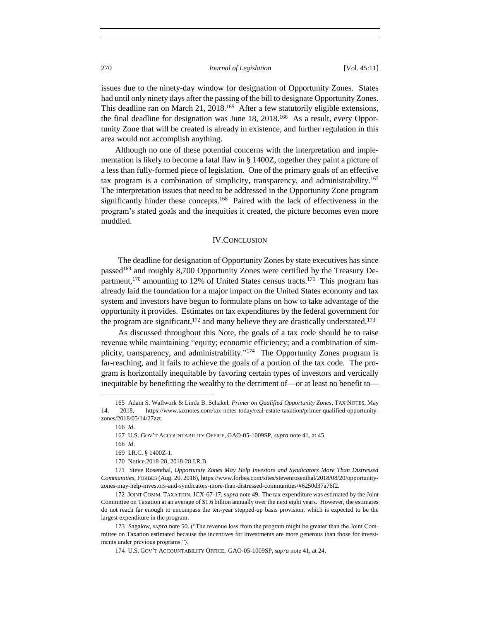issues due to the ninety-day window for designation of Opportunity Zones. States had until only ninety days after the passing of the bill to designate Opportunity Zones. This deadline ran on March 21, 2018.<sup>165</sup> After a few statutorily eligible extensions, the final deadline for designation was June 18, 2018.<sup>166</sup> As a result, every Opportunity Zone that will be created is already in existence, and further regulation in this area would not accomplish anything.

Although no one of these potential concerns with the interpretation and implementation is likely to become a fatal flaw in § 1400Z, together they paint a picture of a less than fully-formed piece of legislation. One of the primary goals of an effective tax program is a combination of simplicity, transparency, and administrability.<sup>167</sup> The interpretation issues that need to be addressed in the Opportunity Zone program significantly hinder these concepts.<sup>168</sup> Paired with the lack of effectiveness in the program's stated goals and the inequities it created, the picture becomes even more muddled.

#### IV.CONCLUSION

The deadline for designation of Opportunity Zones by state executives has since passed<sup>169</sup> and roughly 8,700 Opportunity Zones were certified by the Treasury Department,<sup>170</sup> amounting to 12% of United States census tracts.<sup>171</sup> This program has already laid the foundation for a major impact on the United States economy and tax system and investors have begun to formulate plans on how to take advantage of the opportunity it provides. Estimates on tax expenditures by the federal government for the program are significant,  $172$  and many believe they are drastically understated.<sup>173</sup>

As discussed throughout this Note, the goals of a tax code should be to raise revenue while maintaining "equity; economic efficiency; and a combination of simplicity, transparency, and administrability."<sup>174</sup> The Opportunity Zones program is far-reaching, and it fails to achieve the goals of a portion of the tax code. The program is horizontally inequitable by favoring certain types of investors and vertically inequitable by benefitting the wealthy to the detriment of—or at least no benefit to—

<sup>165</sup> Adam S. Wallwork & Linda B. Schakel, *Primer on Qualified Opportunity Zones*, TAX NOTES, May 14, 2018, https://www.taxnotes.com/tax-notes-today/real-estate-taxation/primer-qualified-opportunityzones/2018/05/14/27zzt.

<sup>166</sup> *Id*.

<sup>167</sup> U.S. GOV'T ACCOUNTABILITY OFFICE, GAO-05-1009SP, *supra* note 41, at 45.

<sup>168</sup> *Id*.

<sup>169</sup> I.R.C. § 1400Z-1.

<sup>170</sup> Notice.2018-28, 2018-28 I.R.B.

<sup>171</sup> Steve Rosenthal, *Opportunity Zones May Help Investors and Syndicators More Than Distressed Communities*, FORBES (Aug. 20, 2018), https://www.forbes.com/sites/stevenrosenthal/2018/08/20/opportunityzones-may-help-investors-and-syndicators-more-than-distressed-communities/#6250d37a76f2.

<sup>172</sup> JOINT COMM. TAXATION, JCX-67-17, *supra* note 49. The tax expenditure was estimated by the Joint Committee on Taxation at an average of \$1.6 billion annually over the next eight years. However, the estimates do not reach far enough to encompass the ten-year stepped-up basis provision, which is expected to be the largest expenditure in the program.

<sup>173</sup> Sagalow, *supra* note 50. ("The revenue loss from the program might be greater than the Joint Committee on Taxation estimated because the incentives for investments are more generous than those for investments under previous programs.").

<sup>174</sup> U.S. GOV'T ACCOUNTABILITY OFFICE, GAO-05-1009SP, *supra* note 41, at 24.